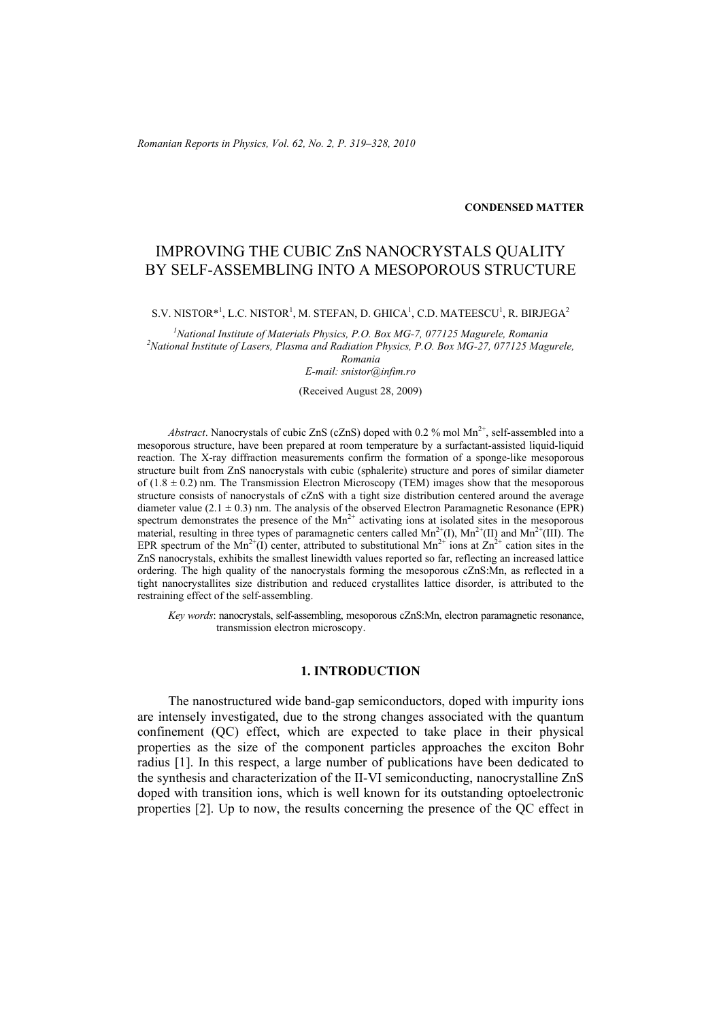#### **CONDENSED MATTER**

# IMPROVING THE CUBIC ZnS NANOCRYSTALS QUALITY BY SELF-ASSEMBLING INTO A MESOPOROUS STRUCTURE

 $S.V. NISTOR<sup>*1</sup>, L.C. NISTOR<sup>1</sup>, M. STEFAN, D. GHICA<sup>1</sup>, C.D. MATEESCU<sup>1</sup>, R. BIRJEGA<sup>2</sup>$ 

<sup>1</sup> National Institute of Materials Physics, P.O. Box MG-7, 077125 Magurele, Romania<br><sup>2</sup> National Institute of Lasons, Plasma and Padiation Physics, P.O. Box MG-27, 077125 Magu <sup>2</sup> National Institute of Lasers, Plasma and Radiation Physics, P.O. Box MG-27, 077125 Magurele, *Romania* 

*E-mail: snistor@infim.ro* 

(Received August 28, 2009)

*Abstract*. Nanocrystals of cubic ZnS (cZnS) doped with 0.2 % mol  $Mn^{2+}$ , self-assembled into a mesoporous structure, have been prepared at room temperature by a surfactant-assisted liquid-liquid reaction. The X-ray diffraction measurements confirm the formation of a sponge-like mesoporous structure built from ZnS nanocrystals with cubic (sphalerite) structure and pores of similar diameter of  $(1.8 \pm 0.2)$  nm. The Transmission Electron Microscopy (TEM) images show that the mesoporous structure consists of nanocrystals of cZnS with a tight size distribution centered around the average diameter value (2.1  $\pm$  0.3) nm. The analysis of the observed Electron Paramagnetic Resonance (EPR) spectrum demonstrates the presence of the  $Mn^{2+}$  activating ions at isolated sites in the mesoporous material, resulting in three types of paramagnetic centers called  $Mn^{2+}(I)$ ,  $Mn^{2+}(II)$  and  $Mn^{2+}(III)$ . The EPR spectrum of the Mn<sup>2+</sup>(I) center, attributed to substitutional Mn<sup>2+</sup> ions at Zn<sup>2+</sup> cation sites in the ZnS nanocrystals, exhibits the smallest linewidth values reported so far, reflecting an increased lattice ordering. The high quality of the nanocrystals forming the mesoporous cZnS:Mn, as reflected in a tight nanocrystallites size distribution and reduced crystallites lattice disorder, is attributed to the restraining effect of the self-assembling.

*Key words*: nanocrystals, self-assembling, mesoporous cZnS:Mn, electron paramagnetic resonance, transmission electron microscopy.

## **1. INTRODUCTION**

The nanostructured wide band-gap semiconductors, doped with impurity ions are intensely investigated, due to the strong changes associated with the quantum confinement (QC) effect, which are expected to take place in their physical properties as the size of the component particles approaches the exciton Bohr radius [1]. In this respect, a large number of publications have been dedicated to the synthesis and characterization of the II-VI semiconducting, nanocrystalline ZnS doped with transition ions, which is well known for its outstanding optoelectronic properties [2]. Up to now, the results concerning the presence of the QC effect in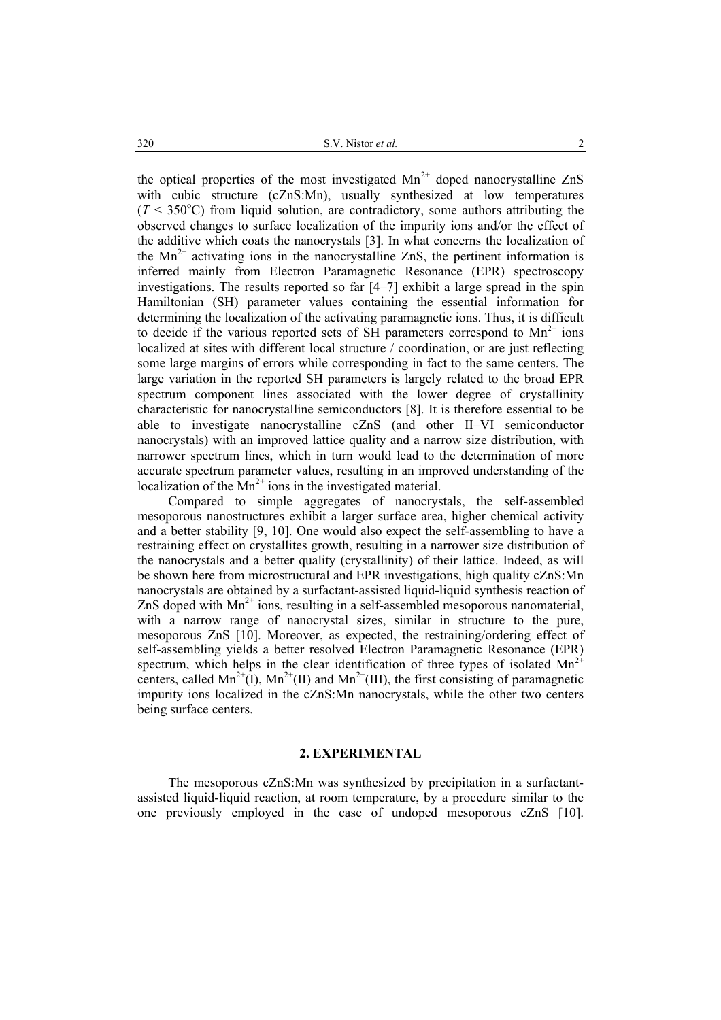the optical properties of the most investigated  $Mn^{2+}$  doped nanocrystalline ZnS with cubic structure (cZnS:Mn), usually synthesized at low temperatures  $(T < 350^{\circ}$ C) from liquid solution, are contradictory, some authors attributing the observed changes to surface localization of the impurity ions and/or the effect of the additive which coats the nanocrystals [3]. In what concerns the localization of the  $Mn^{2+}$  activating ions in the nanocrystalline ZnS, the pertinent information is inferred mainly from Electron Paramagnetic Resonance (EPR) spectroscopy investigations. The results reported so far [4–7] exhibit a large spread in the spin Hamiltonian (SH) parameter values containing the essential information for determining the localization of the activating paramagnetic ions. Thus, it is difficult to decide if the various reported sets of SH parameters correspond to  $Mn^{2+}$  ions localized at sites with different local structure / coordination, or are just reflecting some large margins of errors while corresponding in fact to the same centers. The large variation in the reported SH parameters is largely related to the broad EPR spectrum component lines associated with the lower degree of crystallinity characteristic for nanocrystalline semiconductors [8]. It is therefore essential to be able to investigate nanocrystalline cZnS (and other II–VI semiconductor nanocrystals) with an improved lattice quality and a narrow size distribution, with narrower spectrum lines, which in turn would lead to the determination of more accurate spectrum parameter values, resulting in an improved understanding of the localization of the  $Mn^{2+}$  ions in the investigated material.

Compared to simple aggregates of nanocrystals, the self-assembled mesoporous nanostructures exhibit a larger surface area, higher chemical activity and a better stability [9, 10]. One would also expect the self-assembling to have a restraining effect on crystallites growth, resulting in a narrower size distribution of the nanocrystals and a better quality (crystallinity) of their lattice. Indeed, as will be shown here from microstructural and EPR investigations, high quality cZnS:Mn nanocrystals are obtained by a surfactant-assisted liquid-liquid synthesis reaction of ZnS doped with  $Mn^{2+}$  ions, resulting in a self-assembled mesoporous nanomaterial, with a narrow range of nanocrystal sizes, similar in structure to the pure, mesoporous ZnS [10]. Moreover, as expected, the restraining/ordering effect of self-assembling yields a better resolved Electron Paramagnetic Resonance (EPR) spectrum, which helps in the clear identification of three types of isolated  $Mn^{2+}$ centers, called  $Mn^{2+}(I)$ ,  $Mn^{2+}(II)$  and  $Mn^{2+}(III)$ , the first consisting of paramagnetic impurity ions localized in the cZnS:Mn nanocrystals, while the other two centers being surface centers.

### **2. EXPERIMENTAL**

The mesoporous cZnS:Mn was synthesized by precipitation in a surfactantassisted liquid-liquid reaction, at room temperature, by a procedure similar to the one previously employed in the case of undoped mesoporous cZnS [10].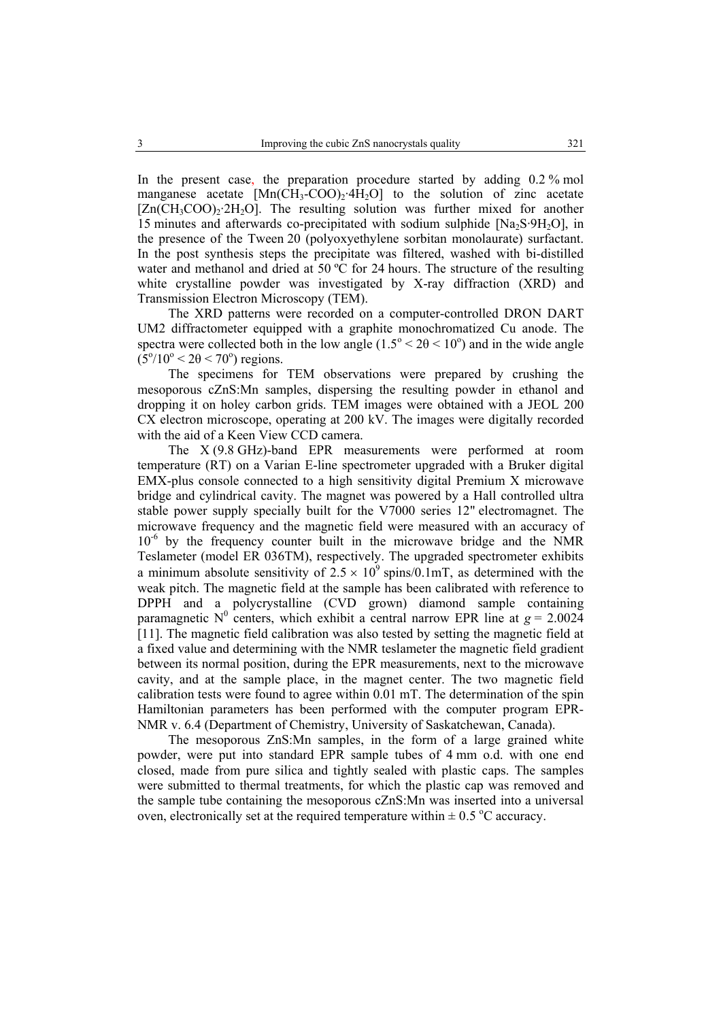In the present case, the preparation procedure started by adding 0.2 % mol manganese acetate  $[Mn(CH_3-COO)_2.4H_2O]$  to the solution of zinc acetate  $[Zn(CH_3COO)_2\cdot 2H_2O]$ . The resulting solution was further mixed for another 15 minutes and afterwards co-precipitated with sodium sulphide  $[Na_2S\cdot 9H_2O]$ , in the presence of the Tween 20 (polyoxyethylene sorbitan monolaurate) surfactant. In the post synthesis steps the precipitate was filtered, washed with bi-distilled water and methanol and dried at 50 °C for 24 hours. The structure of the resulting white crystalline powder was investigated by X-ray diffraction (XRD) and Transmission Electron Microscopy (TEM).

The XRD patterns were recorded on a computer-controlled DRON DART UM2 diffractometer equipped with a graphite monochromatized Cu anode. The spectra were collected both in the low angle  $(1.5^{\circ} < 2\theta < 10^{\circ})$  and in the wide angle  $(5^{\circ}/10^{\circ} < 2\theta < 70^{\circ})$  regions.

The specimens for TEM observations were prepared by crushing the mesoporous cZnS:Mn samples, dispersing the resulting powder in ethanol and dropping it on holey carbon grids. TEM images were obtained with a JEOL 200 CX electron microscope, operating at 200 kV. The images were digitally recorded with the aid of a Keen View CCD camera.

The X (9.8 GHz)-band EPR measurements were performed at room temperature (RT) on a Varian E-line spectrometer upgraded with a Bruker digital EMX-plus console connected to a high sensitivity digital Premium X microwave bridge and cylindrical cavity. The magnet was powered by a Hall controlled ultra stable power supply specially built for the V7000 series 12" electromagnet. The microwave frequency and the magnetic field were measured with an accuracy of  $10^{-6}$  by the frequency counter built in the microwave bridge and the NMR Teslameter (model ER 036TM), respectively. The upgraded spectrometer exhibits a minimum absolute sensitivity of  $2.5 \times 10^9$  spins/0.1mT, as determined with the weak pitch. The magnetic field at the sample has been calibrated with reference to DPPH and a polycrystalline (CVD grown) diamond sample containing paramagnetic N<sup>0</sup> centers, which exhibit a central narrow EPR line at  $g = 2.0024$ [11]. The magnetic field calibration was also tested by setting the magnetic field at a fixed value and determining with the NMR teslameter the magnetic field gradient between its normal position, during the EPR measurements, next to the microwave cavity, and at the sample place, in the magnet center. The two magnetic field calibration tests were found to agree within 0.01 mT. The determination of the spin Hamiltonian parameters has been performed with the computer program EPR-NMR v. 6.4 (Department of Chemistry, University of Saskatchewan, Canada).

The mesoporous ZnS:Mn samples, in the form of a large grained white powder, were put into standard EPR sample tubes of 4 mm o.d. with one end closed, made from pure silica and tightly sealed with plastic caps. The samples were submitted to thermal treatments, for which the plastic cap was removed and the sample tube containing the mesoporous cZnS:Mn was inserted into a universal oven, electronically set at the required temperature within  $\pm$  0.5 °C accuracy.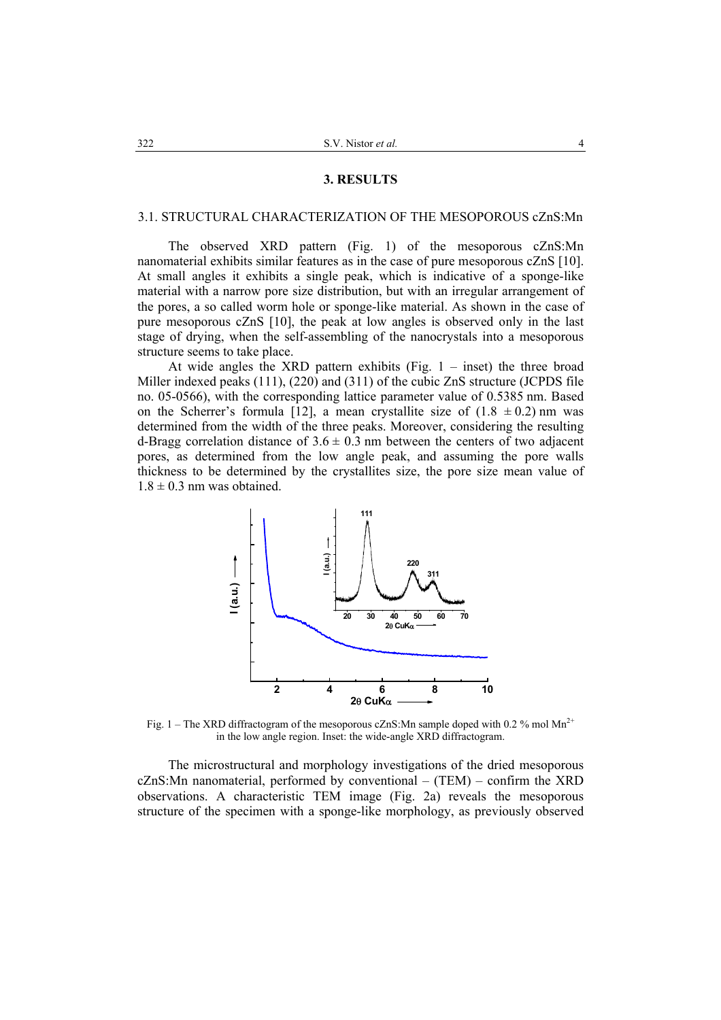#### **3. RESULTS**

#### 3.1. STRUCTURAL CHARACTERIZATION OF THE MESOPOROUS cZnS:Mn

The observed XRD pattern (Fig. 1) of the mesoporous cZnS:Mn nanomaterial exhibits similar features as in the case of pure mesoporous cZnS [10]. At small angles it exhibits a single peak, which is indicative of a sponge-like material with a narrow pore size distribution, but with an irregular arrangement of the pores, a so called worm hole or sponge-like material. As shown in the case of pure mesoporous cZnS [10], the peak at low angles is observed only in the last stage of drying, when the self-assembling of the nanocrystals into a mesoporous structure seems to take place.

At wide angles the XRD pattern exhibits (Fig.  $1 -$  inset) the three broad Miller indexed peaks (111), (220) and (311) of the cubic ZnS structure (JCPDS file no. 05-0566), with the corresponding lattice parameter value of 0.5385 nm. Based on the Scherrer's formula [12], a mean crystallite size of  $(1.8 \pm 0.2)$  nm was determined from the width of the three peaks. Moreover, considering the resulting d-Bragg correlation distance of  $3.6 \pm 0.3$  nm between the centers of two adjacent pores, as determined from the low angle peak, and assuming the pore walls thickness to be determined by the crystallites size, the pore size mean value of  $1.8 \pm 0.3$  nm was obtained.



Fig. 1 – The XRD diffractogram of the mesoporous cZnS:Mn sample doped with 0.2 % mol Mn<sup>2+</sup> in the low angle region. Inset: the wide-angle XRD diffractogram.

The microstructural and morphology investigations of the dried mesoporous cZnS:Mn nanomaterial, performed by conventional – (TEM) – confirm the XRD observations. A characteristic TEM image (Fig. 2a) reveals the mesoporous structure of the specimen with a sponge-like morphology, as previously observed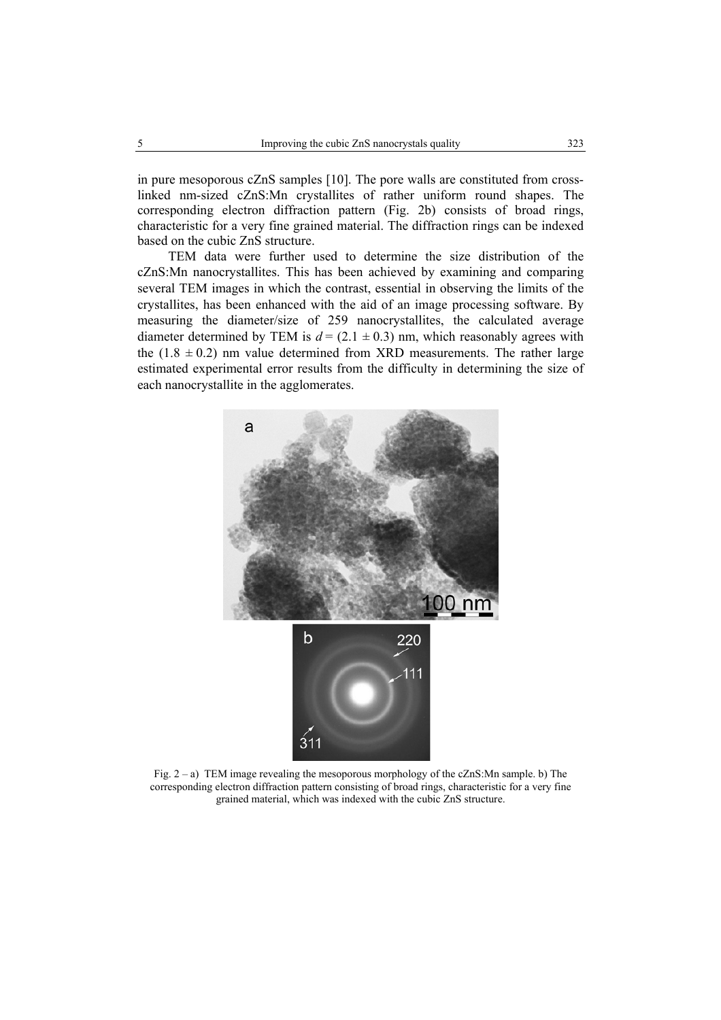in pure mesoporous cZnS samples [10]. The pore walls are constituted from crosslinked nm-sized cZnS:Mn crystallites of rather uniform round shapes. The corresponding electron diffraction pattern (Fig. 2b) consists of broad rings, characteristic for a very fine grained material. The diffraction rings can be indexed based on the cubic ZnS structure.

TEM data were further used to determine the size distribution of the cZnS:Mn nanocrystallites. This has been achieved by examining and comparing several TEM images in which the contrast, essential in observing the limits of the crystallites, has been enhanced with the aid of an image processing software. By measuring the diameter/size of 259 nanocrystallites, the calculated average diameter determined by TEM is  $d = (2.1 \pm 0.3)$  nm, which reasonably agrees with the  $(1.8 \pm 0.2)$  nm value determined from XRD measurements. The rather large estimated experimental error results from the difficulty in determining the size of each nanocrystallite in the agglomerates.



Fig. 2 – a) TEM image revealing the mesoporous morphology of the cZnS:Mn sample. b) The corresponding electron diffraction pattern consisting of broad rings, characteristic for a very fine grained material, which was indexed with the cubic ZnS structure.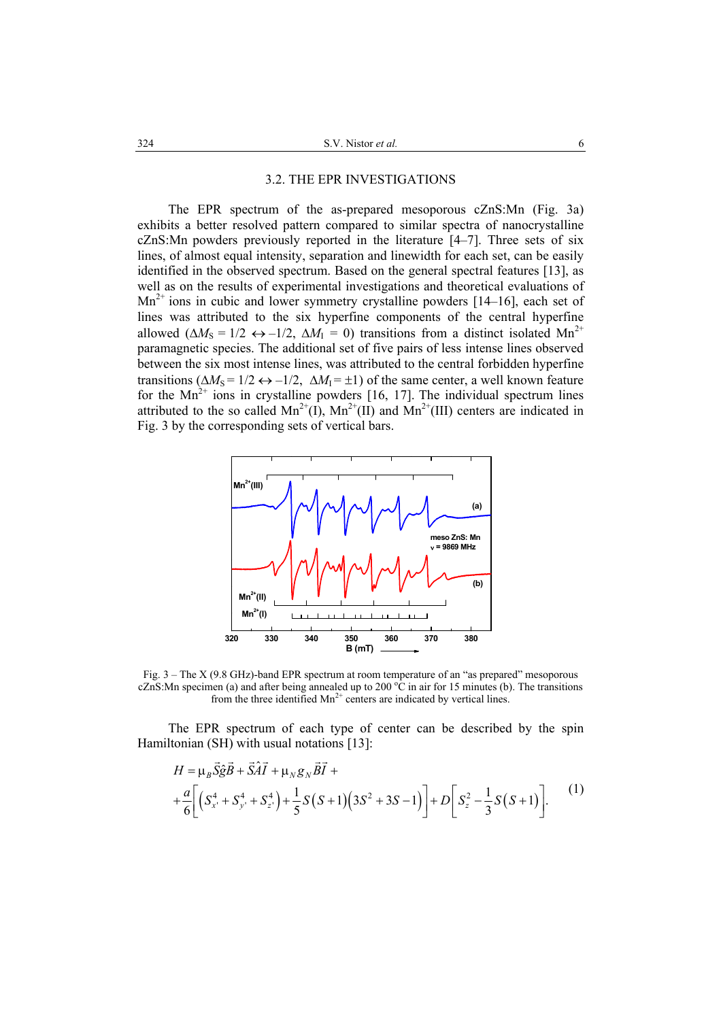#### 3.2. THE EPR INVESTIGATIONS

The EPR spectrum of the as-prepared mesoporous cZnS:Mn (Fig. 3a) exhibits a better resolved pattern compared to similar spectra of nanocrystalline cZnS:Mn powders previously reported in the literature [4–7]. Three sets of six lines, of almost equal intensity, separation and linewidth for each set, can be easily identified in the observed spectrum. Based on the general spectral features [13], as well as on the results of experimental investigations and theoretical evaluations of  $Mn^{2+}$  ions in cubic and lower symmetry crystalline powders [14–16], each set of lines was attributed to the six hyperfine components of the central hyperfine allowed ( $\Delta M_s = 1/2 \leftrightarrow -1/2$ ,  $\Delta M_l = 0$ ) transitions from a distinct isolated Mn<sup>2+</sup> paramagnetic species. The additional set of five pairs of less intense lines observed between the six most intense lines, was attributed to the central forbidden hyperfine transitions ( $\Delta M_s = 1/2 \leftrightarrow -1/2$ ,  $\Delta M_l = \pm 1$ ) of the same center, a well known feature for the  $Mn^{2+}$  ions in crystalline powders [16, 17]. The individual spectrum lines attributed to the so called  $Mn^{2+}(I)$ ,  $Mn^{2+}(II)$  and  $Mn^{2+}(III)$  centers are indicated in Fig. 3 by the corresponding sets of vertical bars.



Fig. 3 – The X (9.8 GHz)-band EPR spectrum at room temperature of an "as prepared" mesoporous cZnS:Mn specimen (a) and after being annealed up to 200  $^{\circ}$ C in air for 15 minutes (b). The transitions from the three identified  $Mn^{2+}$  centers are indicated by vertical lines.

The EPR spectrum of each type of center can be described by the spin Hamiltonian (SH) with usual notations [13]:

$$
H = \mu_B \vec{S} \hat{g} \vec{B} + \vec{S} \hat{A} \vec{I} + \mu_N g_N \vec{B} \vec{I} +
$$
  
+ 
$$
\frac{a}{6} \left[ \left( S_x^4 + S_y^4 + S_z^4 \right) + \frac{1}{5} S \left( S + 1 \right) \left( 3S^2 + 3S - 1 \right) \right] + D \left[ S_z^2 - \frac{1}{3} S \left( S + 1 \right) \right].
$$
 (1)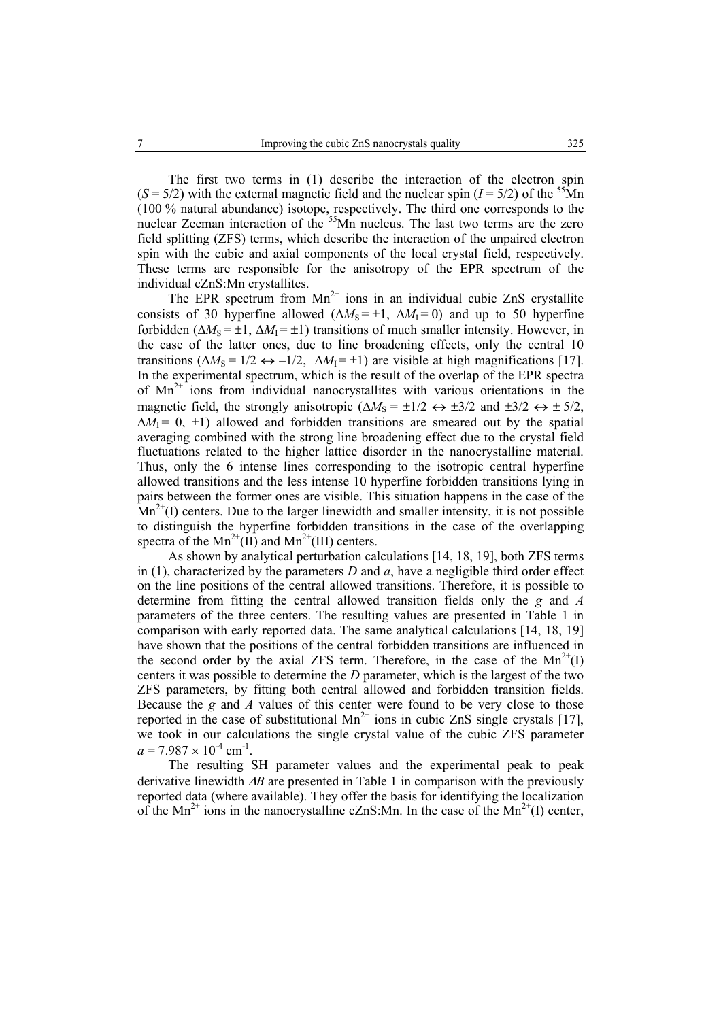The first two terms in (1) describe the interaction of the electron spin  $(S = 5/2)$  with the external magnetic field and the nuclear spin  $(I = 5/2)$  of the <sup>55</sup>Mn (100 % natural abundance) isotope, respectively. The third one corresponds to the nuclear Zeeman interaction of the <sup>55</sup>Mn nucleus. The last two terms are the zero field splitting (ZFS) terms, which describe the interaction of the unpaired electron spin with the cubic and axial components of the local crystal field, respectively. These terms are responsible for the anisotropy of the EPR spectrum of the individual cZnS:Mn crystallites.

The EPR spectrum from  $Mn^{2+}$  ions in an individual cubic ZnS crystallite consists of 30 hyperfine allowed ( $\Delta M_s = \pm 1$ ,  $\Delta M_l = 0$ ) and up to 50 hyperfine forbidden  $(\Delta M_S = \pm 1, \Delta M_I = \pm 1)$  transitions of much smaller intensity. However, in the case of the latter ones, due to line broadening effects, only the central 10 transitions ( $\Delta M_s = 1/2 \leftrightarrow -1/2$ ,  $\Delta M_1 = \pm 1$ ) are visible at high magnifications [17]. In the experimental spectrum, which is the result of the overlap of the EPR spectra of  $Mn^{2+}$  ions from individual nanocrystallites with various orientations in the magnetic field, the strongly anisotropic ( $\Delta M_s = \pm 1/2 \leftrightarrow \pm 3/2$  and  $\pm 3/2 \leftrightarrow \pm 5/2$ ,  $\Delta M_1 = 0$ ,  $\pm 1$ ) allowed and forbidden transitions are smeared out by the spatial averaging combined with the strong line broadening effect due to the crystal field fluctuations related to the higher lattice disorder in the nanocrystalline material. Thus, only the 6 intense lines corresponding to the isotropic central hyperfine allowed transitions and the less intense 10 hyperfine forbidden transitions lying in pairs between the former ones are visible. This situation happens in the case of the  $Mn^{2+}(I)$  centers. Due to the larger linewidth and smaller intensity, it is not possible to distinguish the hyperfine forbidden transitions in the case of the overlapping spectra of the  $Mn^{2+}(II)$  and  $Mn^{2+}(III)$  centers.

As shown by analytical perturbation calculations [14, 18, 19], both ZFS terms in (1), characterized by the parameters  $D$  and  $a$ , have a negligible third order effect on the line positions of the central allowed transitions. Therefore, it is possible to determine from fitting the central allowed transition fields only the *g* and *A* parameters of the three centers. The resulting values are presented in Table 1 in comparison with early reported data. The same analytical calculations [14, 18, 19] have shown that the positions of the central forbidden transitions are influenced in the second order by the axial ZFS term. Therefore, in the case of the  $Mn^{2+}(I)$ centers it was possible to determine the *D* parameter, which is the largest of the two ZFS parameters, by fitting both central allowed and forbidden transition fields. Because the *g* and *A* values of this center were found to be very close to those reported in the case of substitutional  $Mn^{2+}$  ions in cubic ZnS single crystals [17], we took in our calculations the single crystal value of the cubic ZFS parameter  $a = 7.987 \times 10^{-4}$  cm<sup>-1</sup>.

The resulting SH parameter values and the experimental peak to peak derivative linewidth ∆*B* are presented in Table 1 in comparison with the previously reported data (where available). They offer the basis for identifying the localization of the Mn<sup>2+</sup> ions in the nanocrystalline cZnS:Mn. In the case of the Mn<sup>2+</sup>(I) center,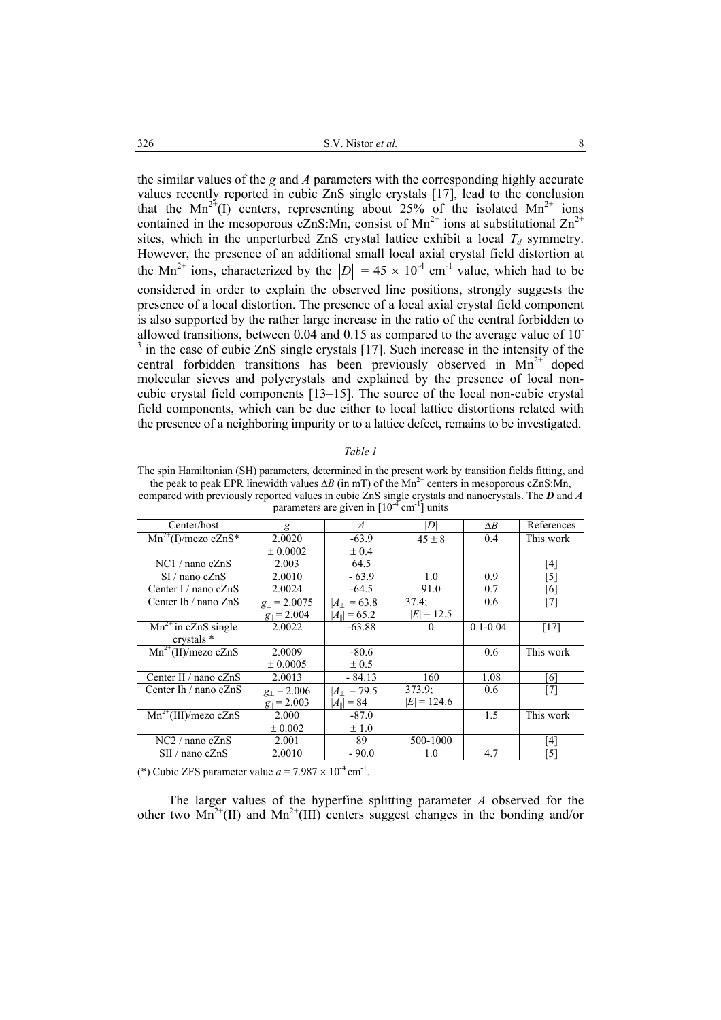the similar values of the *g* and *A* parameters with the corresponding highly accurate values recently reported in cubic ZnS single crystals [17], lead to the conclusion that the  $Mn^{2+}(I)$  centers, representing about 25% of the isolated  $Mn^{2+}$  ions contained in the mesoporous cZnS:Mn, consist of Mn<sup>2+</sup> ions at substitutional Zn<sup>2+</sup> sites, which in the unperturbed ZnS crystal lattice exhibit a local  $T_d$  symmetry. However, the presence of an additional small local axial crystal field distortion at the Mn<sup>2+</sup> ions, characterized by the  $|D| = 45 \times 10^{-4}$  cm<sup>-1</sup> value, which had to be considered in order to explain the observed line positions, strongly suggests the presence of a local distortion. The presence of a local axial crystal field component is also supported by the rather large increase in the ratio of the central forbidden to allowed transitions, between 0.04 and 0.15 as compared to the average value of 10- <sup>3</sup> in the case of cubic ZnS single crystals [17]. Such increase in the intensity of the central forbidden transitions has been previously observed in  $Mn^{2+}$  doped molecular sieves and polycrystals and explained by the presence of local noncubic crystal field components [13–15]. The source of the local non-cubic crystal field components, which can be due either to local lattice distortions related with the presence of a neighboring impurity or to a lattice defect, remains to be investigated.

#### *Table 1*

The spin Hamiltonian (SH) parameters, determined in the present work by transition fields fitting, and the peak to peak EPR linewidth values  $\Delta B$  (in mT) of the Mn<sup>2+</sup> centers in mesoporous cZnS:Mn, compared with previously reported values in cubic ZnS single crystals and nanocrystals. The *D* and *A* parameters are given in  $[10^{-4}$  cm<sup>-1</sup>] units

| Center/host               | g                       | $\boldsymbol{A}$         | $\vert D \vert$ | $\Delta B$   | References |
|---------------------------|-------------------------|--------------------------|-----------------|--------------|------------|
| $Mn^{2+}(I)/$ mezo cZnS*  | 2.0020                  | $-63.9$                  | $45 \pm 8$      | 0.4          | This work  |
|                           | ± 0.0002                | ± 0.4                    |                 |              |            |
| $NC1/$ nano c $ZnS$       | 2.003                   | 64.5                     |                 |              | [4]        |
| $SI/$ nano c $ZnS$        | 2.0010                  | $-63.9$                  | 1.0             | 0.9          | [5]        |
| Center I / nano $cZnS$    | 2.0024                  | $-64.5$                  | 91.0            | 0.7          | [6]        |
| Center Ib / nano ZnS      | $g_{\perp}$ = 2.0075    | $ A_1  = 63.8$           | 37.4:           | 0.6          | $[7]$      |
|                           | $g_{\parallel} = 2.004$ | $ A_{\parallel}  = 65.2$ | $ E  = 12.5$    |              |            |
| $Mn^{2+}$ in cZnS single  | 2.0022                  | $-63.88$                 | $\theta$        | $0.1 - 0.04$ | [17]       |
| crystals *                |                         |                          |                 |              |            |
| $Mn^{2+}(II)/$ mezo cZnS  | 2.0009                  | $-80.6$                  |                 | 0.6          | This work  |
|                           | ± 0.0005                | $\pm 0.5$                |                 |              |            |
| Center II / nano $cZnS$   | 2.0013                  | $-84.13$                 | 160             | 1.08         | [6]        |
| Center Ih / nano $cZnS$   | $g_1 = 2.006$           | $ A_1 $ = 79.5           | 373.9:          | 0.6          | $[7]$      |
|                           | $g_{\parallel} = 2.003$ | $ A_{\parallel}  = 84$   | $ E  = 124.6$   |              |            |
| $Mn^{2+}(III)/$ mezo cZnS | 2.000                   | $-87.0$                  |                 | 1.5          | This work  |
|                           | ± 0.002                 | ±1.0                     |                 |              |            |
| $NC2 /$ nano c $ZnS$      | 2.001                   | 89                       | 500-1000        |              | [4]        |
| $SII /$ nano c $ZnS$      | 2.0010                  | $-90.0$                  | 1.0             | 4.7          | [5]        |

(\*) Cubic ZFS parameter value  $a = 7.987 \times 10^{-4}$  cm<sup>-1</sup>.

The larger values of the hyperfine splitting parameter *A* observed for the other two  $Mn^{2+}(II)$  and  $Mn^{2+}(III)$  centers suggest changes in the bonding and/or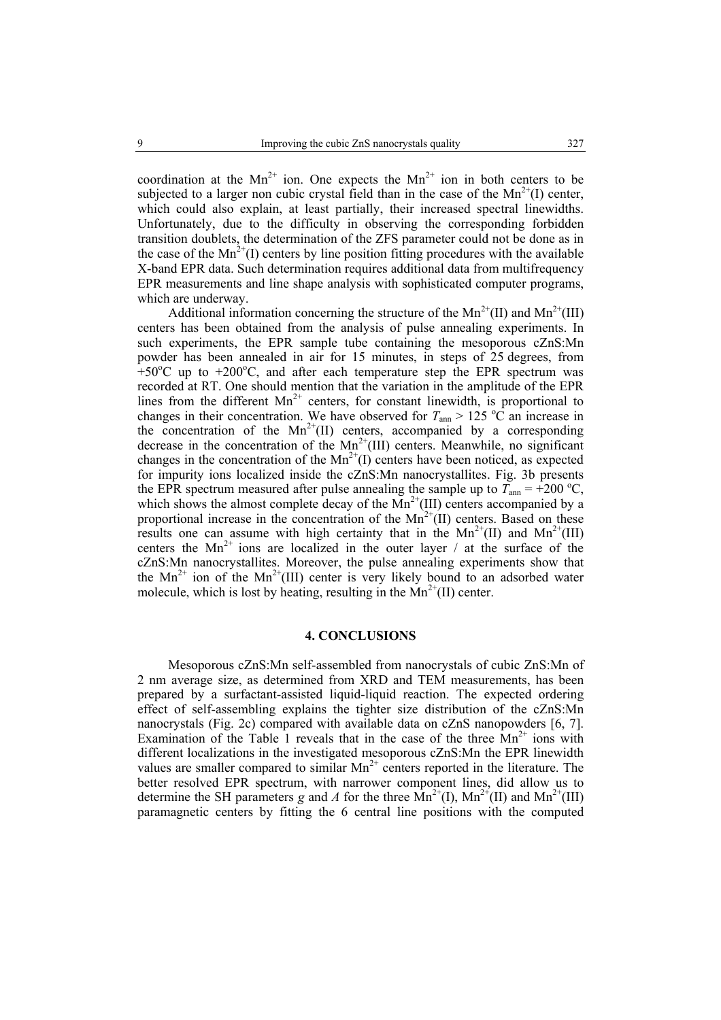coordination at the  $Mn^{2+}$  ion. One expects the  $Mn^{2+}$  ion in both centers to be subjected to a larger non cubic crystal field than in the case of the  $Mn^{2+}(I)$  center, which could also explain, at least partially, their increased spectral linewidths. Unfortunately, due to the difficulty in observing the corresponding forbidden transition doublets, the determination of the ZFS parameter could not be done as in the case of the  $Mn^{2+}(I)$  centers by line position fitting procedures with the available X-band EPR data. Such determination requires additional data from multifrequency EPR measurements and line shape analysis with sophisticated computer programs, which are underway.

Additional information concerning the structure of the  $Mn^{2+}(II)$  and  $Mn^{2+}(III)$ centers has been obtained from the analysis of pulse annealing experiments. In such experiments, the EPR sample tube containing the mesoporous cZnS:Mn powder has been annealed in air for 15 minutes, in steps of 25 degrees, from  $+50^{\circ}$ C up to  $+200^{\circ}$ C, and after each temperature step the EPR spectrum was recorded at RT. One should mention that the variation in the amplitude of the EPR lines from the different  $Mn^{2+}$  centers, for constant linewidth, is proportional to changes in their concentration. We have observed for  $T_{\text{ann}} > 125 \text{ °C}$  an increase in the concentration of the  $Mn^{2+}(II)$  centers, accompanied by a corresponding decrease in the concentration of the  $Mn^{2+}(III)$  centers. Meanwhile, no significant changes in the concentration of the  $Mn^{2+}(I)$  centers have been noticed, as expected for impurity ions localized inside the cZnS:Mn nanocrystallites. Fig. 3b presents the EPR spectrum measured after pulse annealing the sample up to  $\overline{T}_{\text{ann}} = +200 \degree C$ , which shows the almost complete decay of the  $Mn^{2+}(III)$  centers accompanied by a proportional increase in the concentration of the  $Mn^{2+}(II)$  centers. Based on these results one can assume with high certainty that in the  $Mn^{2+}(II)$  and  $Mn^{2+}(III)$ centers the  $Mn^{2+}$  ions are localized in the outer layer / at the surface of the cZnS:Mn nanocrystallites. Moreover, the pulse annealing experiments show that the  $Mn^{2+}$  ion of the  $Mn^{2+}(III)$  center is very likely bound to an adsorbed water molecule, which is lost by heating, resulting in the  $Mn^{2+}(II)$  center.

#### **4. CONCLUSIONS**

Mesoporous cZnS:Mn self-assembled from nanocrystals of cubic ZnS:Mn of 2 nm average size, as determined from XRD and TEM measurements, has been prepared by a surfactant-assisted liquid-liquid reaction. The expected ordering effect of self-assembling explains the tighter size distribution of the cZnS:Mn nanocrystals (Fig. 2c) compared with available data on cZnS nanopowders [6, 7]. Examination of the Table 1 reveals that in the case of the three  $Mn^{2+}$  ions with different localizations in the investigated mesoporous cZnS:Mn the EPR linewidth values are smaller compared to similar  $Mn^{2+}$  centers reported in the literature. The better resolved EPR spectrum, with narrower component lines, did allow us to determine the SH parameters *g* and *A* for the three  $\text{Mn}^{2+}(I)$ ,  $\text{Mn}^{2+}(II)$  and  $\text{Mn}^{2+}(III)$ paramagnetic centers by fitting the 6 central line positions with the computed